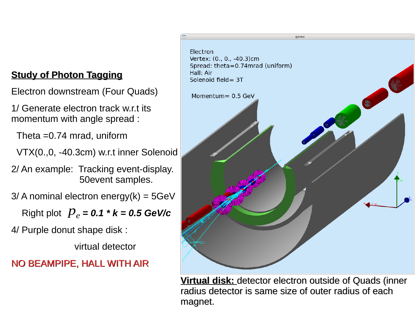Electron downstream (Four Quads)

1/ Generate electron track w.r.t its momentum with angle spread :

Theta =0.74 mrad, uniform

VTX(0.,0, -40.3cm) w.r.t inner Solenoid

2/ An example: Tracking event-display. 50event samples.

 $3/$  A nominal electron energy(k) =  $5GeV$ 

 $P_e = 0.1 * k = 0.5$  GeV/c

4/ Purple donut shape disk :

virtual detector

### NO BEAMPIPE, HALL WITH AIR



**Virtual disk:** detector electron outside of Quads (inner radius detector is same size of outer radius of each magnet.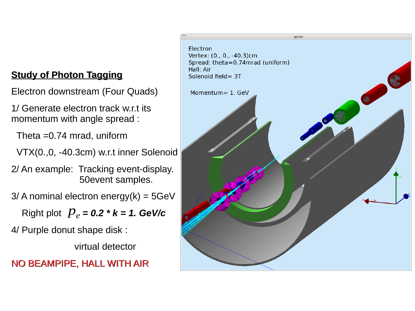Electron downstream (Four Quads)

1/ Generate electron track w.r.t its momentum with angle spread :

Theta =0.74 mrad, uniform

VTX(0.,0, -40.3cm) w.r.t inner Solenoid

2/ An example: Tracking event-display. 50event samples.

 $3/$  A nominal electron energy(k) =  $5GeV$ 

 $P_e = 0.2 * k = 1.$  GeV/c

4/ Purple donut shape disk :

virtual detector

NO BEAMPIPE, HALL WITH AIR

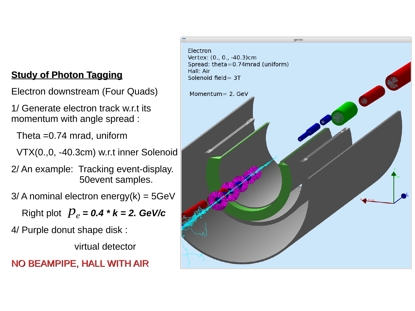Electron downstream (Four Quads)

1/ Generate electron track w.r.t its momentum with angle spread :

Theta =0.74 mrad, uniform

VTX(0.,0, -40.3cm) w.r.t inner Solenoid

2/ An example: Tracking event-display. 50event samples.

 $3/$  A nominal electron energy(k) =  $5GeV$ 

 $P_e = 0.4 * k = 2.$  GeV/c

4/ Purple donut shape disk :

virtual detector

NO BEAMPIPE, HALL WITH AIR

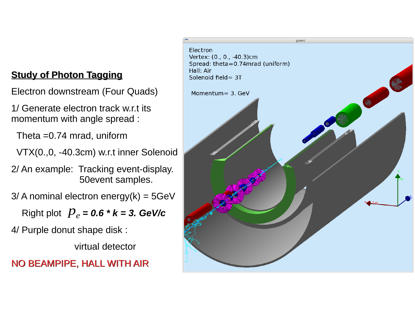Electron downstream (Four Quads)

1/ Generate electron track w.r.t its momentum with angle spread :

Theta =0.74 mrad, uniform

VTX(0.,0, -40.3cm) w.r.t inner Solenoid

2/ An example: Tracking event-display. 50event samples.

 $3/$  A nominal electron energy(k) =  $5GeV$ 

 $P_e = 0.6 * k = 3.$  *GeV/c* 

4/ Purple donut shape disk :

virtual detector

### NO BEAMPIPE, HALL WITH AIR

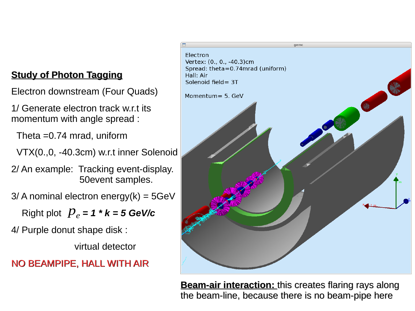Electron downstream (Four Quads)

1/ Generate electron track w.r.t its momentum with angle spread :

Theta =0.74 mrad, uniform

VTX(0.,0, -40.3cm) w.r.t inner Solenoid

2/ An example: Tracking event-display. 50event samples.

 $3/$  A nominal electron energy(k) =  $5GeV$ 

Right plot  $p_e$  = 1 \*  $k$  = 5 GeV/c

4/ Purple donut shape disk :

virtual detector

### NO BEAMPIPE, HALL WITH AIR



**Beam-air interaction:** this creates flaring rays along the beam-line, because there is no beam-pipe here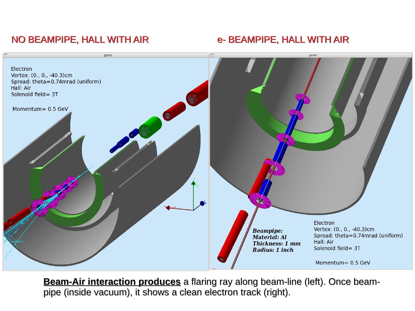## NO BEAMPIPE, HALL WITH AIR **EXAMPIPE, HALL WITH AIR**



**Beam-Air interaction produces** a flaring ray along beam-line (left). Once beampipe (inside vacuum), it shows a clean electron track (right).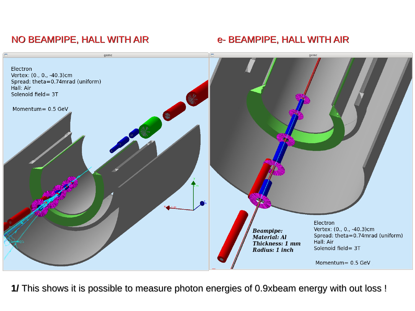## NO BEAMPIPE, HALL WITH AIR **EXAMPIPE, HALL WITH AIR**



**1/** This shows it is possible to measure photon energies of 0.9xbeam energy with out loss !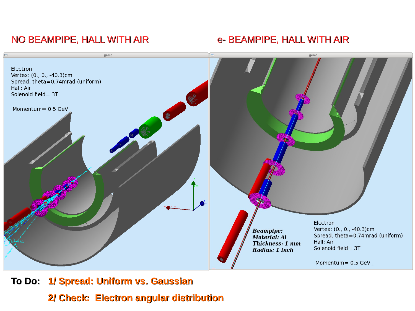## NO BEAMPIPE, HALL WITH AIR **E-BEAMPIPE, HALL WITH AIR**



# **To Do: 1/ Spread: Uniform vs. Gaussian 2/ Check: Electron angular distribution**